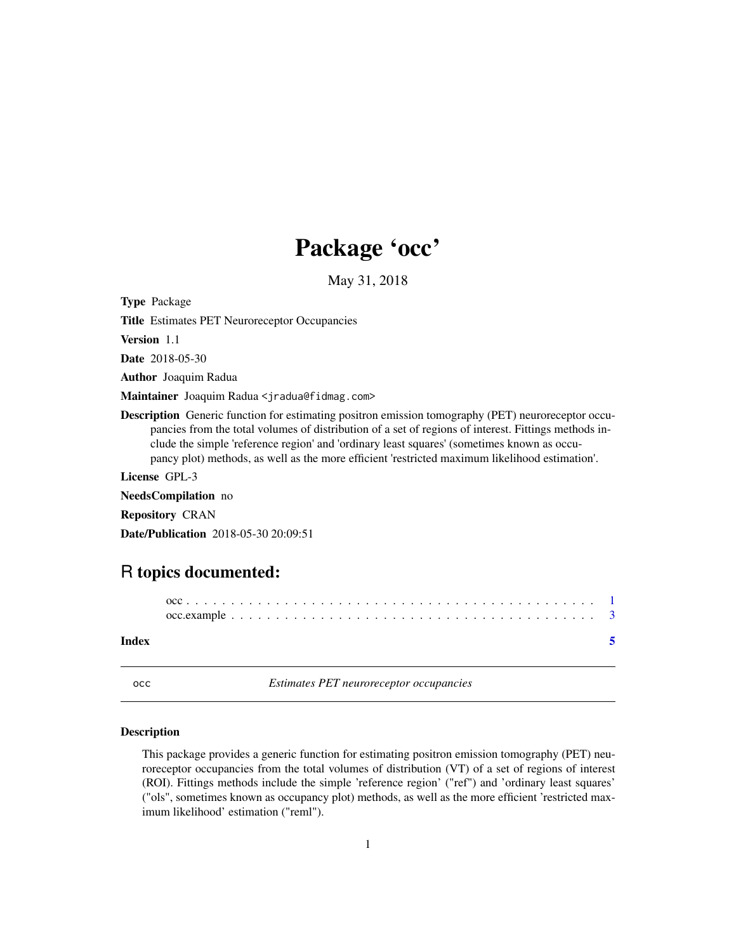## Package 'occ'

May 31, 2018

<span id="page-0-0"></span>Type Package

Title Estimates PET Neuroreceptor Occupancies

Version 1.1

Date 2018-05-30

Author Joaquim Radua

Maintainer Joaquim Radua <jradua@fidmag.com>

Description Generic function for estimating positron emission tomography (PET) neuroreceptor occupancies from the total volumes of distribution of a set of regions of interest. Fittings methods include the simple 'reference region' and 'ordinary least squares' (sometimes known as occupancy plot) methods, as well as the more efficient 'restricted maximum likelihood estimation'.

License GPL-3

NeedsCompilation no

Repository CRAN

Date/Publication 2018-05-30 20:09:51

### R topics documented:

#### **Index** [5](#page-4-0)

occ *Estimates PET neuroreceptor occupancies*

#### Description

This package provides a generic function for estimating positron emission tomography (PET) neuroreceptor occupancies from the total volumes of distribution (VT) of a set of regions of interest (ROI). Fittings methods include the simple 'reference region' ("ref") and 'ordinary least squares' ("ols", sometimes known as occupancy plot) methods, as well as the more efficient 'restricted maximum likelihood' estimation ("reml").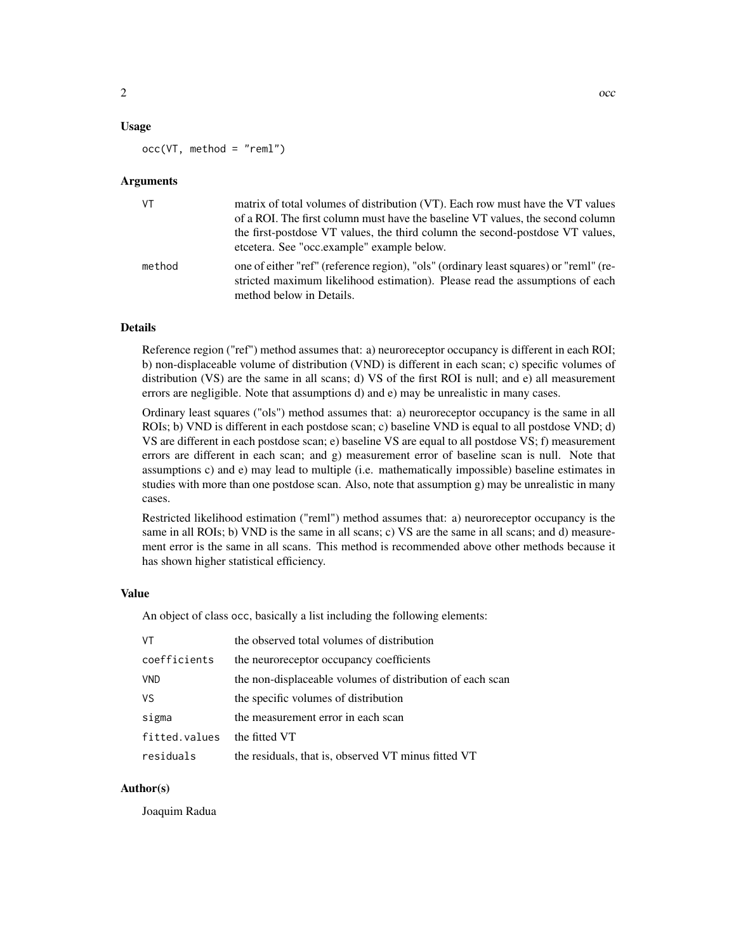#### Usage

occ(VT, method = "reml")

#### Arguments

| VT.    | matrix of total volumes of distribution (VT). Each row must have the VT values<br>of a ROI. The first column must have the baseline VT values, the second column<br>the first-postdose VT values, the third column the second-postdose VT values,<br>etcetera. See "occ.example" example below. |
|--------|-------------------------------------------------------------------------------------------------------------------------------------------------------------------------------------------------------------------------------------------------------------------------------------------------|
| method | one of either "ref" (reference region), "ols" (ordinary least squares) or "reml" (re-<br>stricted maximum likelihood estimation). Please read the assumptions of each<br>method below in Details.                                                                                               |

#### Details

Reference region ("ref") method assumes that: a) neuroreceptor occupancy is different in each ROI; b) non-displaceable volume of distribution (VND) is different in each scan; c) specific volumes of distribution (VS) are the same in all scans; d) VS of the first ROI is null; and e) all measurement errors are negligible. Note that assumptions d) and e) may be unrealistic in many cases.

Ordinary least squares ("ols") method assumes that: a) neuroreceptor occupancy is the same in all ROIs; b) VND is different in each postdose scan; c) baseline VND is equal to all postdose VND; d) VS are different in each postdose scan; e) baseline VS are equal to all postdose VS; f) measurement errors are different in each scan; and g) measurement error of baseline scan is null. Note that assumptions c) and e) may lead to multiple (i.e. mathematically impossible) baseline estimates in studies with more than one postdose scan. Also, note that assumption g) may be unrealistic in many cases.

Restricted likelihood estimation ("reml") method assumes that: a) neuroreceptor occupancy is the same in all ROIs; b) VND is the same in all scans; c) VS are the same in all scans; and d) measurement error is the same in all scans. This method is recommended above other methods because it has shown higher statistical efficiency.

#### Value

An object of class occ, basically a list including the following elements:

| VT            | the observed total volumes of distribution                |
|---------------|-----------------------------------------------------------|
| coefficients  | the neuroreceptor occupancy coefficients                  |
| <b>VND</b>    | the non-displaceable volumes of distribution of each scan |
| VS            | the specific volumes of distribution                      |
| sigma         | the measurement error in each scan                        |
| fitted.values | the fitted VT                                             |
| residuals     | the residuals, that is, observed VT minus fitted VT       |

#### Author(s)

Joaquim Radua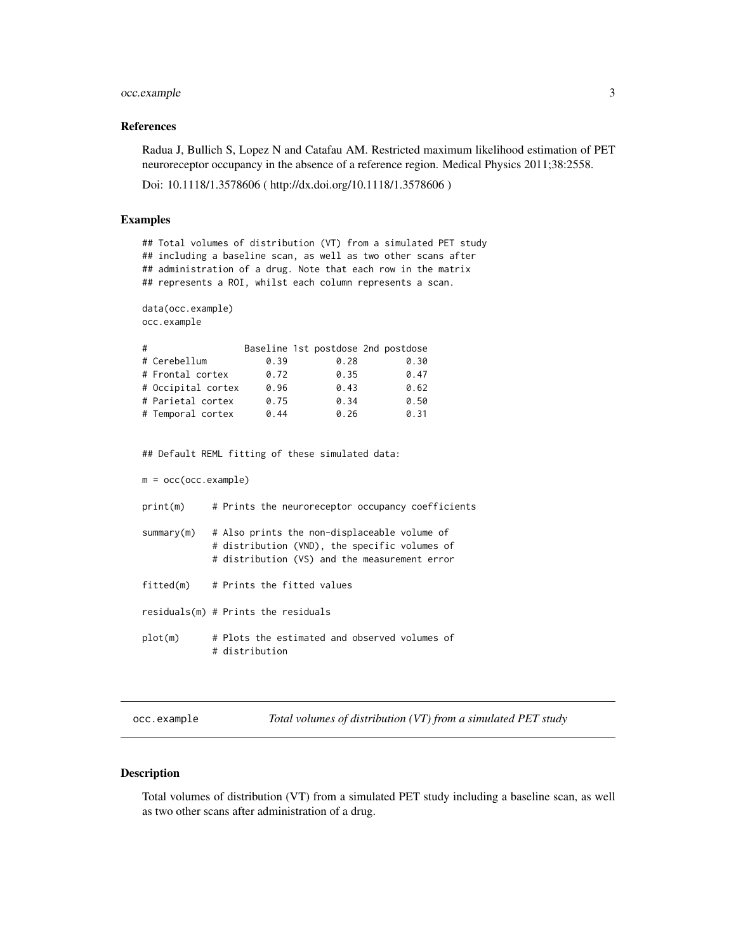#### <span id="page-2-0"></span>occ.example 3

#### References

Radua J, Bullich S, Lopez N and Catafau AM. Restricted maximum likelihood estimation of PET neuroreceptor occupancy in the absence of a reference region. Medical Physics 2011;38:2558.

Doi: 10.1118/1.3578606 ( http://dx.doi.org/10.1118/1.3578606 )

#### Examples

```
## Total volumes of distribution (VT) from a simulated PET study
## including a baseline scan, as well as two other scans after
## administration of a drug. Note that each row in the matrix
## represents a ROI, whilst each column represents a scan.
data(occ.example)
occ.example
# Baseline 1st postdose 2nd postdose
# Cerebellum 0.39 0.28 0.30
# Frontal cortex 0.72 0.35 0.47
# Occipital cortex 0.96 0.43 0.62
# Parietal cortex 0.75 0.34 0.50
# Temporal cortex 0.44 0.26 0.31
## Default REML fitting of these simulated data:
m = occ(occ.example)print(m) # Prints the neuroreceptor occupancy coefficients
summary(m) # Also prints the non-displaceable volume of
           # distribution (VND), the specific volumes of
           # distribution (VS) and the measurement error
fitted(m) # Prints the fitted values
residuals(m) # Prints the residuals
plot(m) # Plots the estimated and observed volumes of
           # distribution
```
occ.example *Total volumes of distribution (VT) from a simulated PET study*

#### Description

Total volumes of distribution (VT) from a simulated PET study including a baseline scan, as well as two other scans after administration of a drug.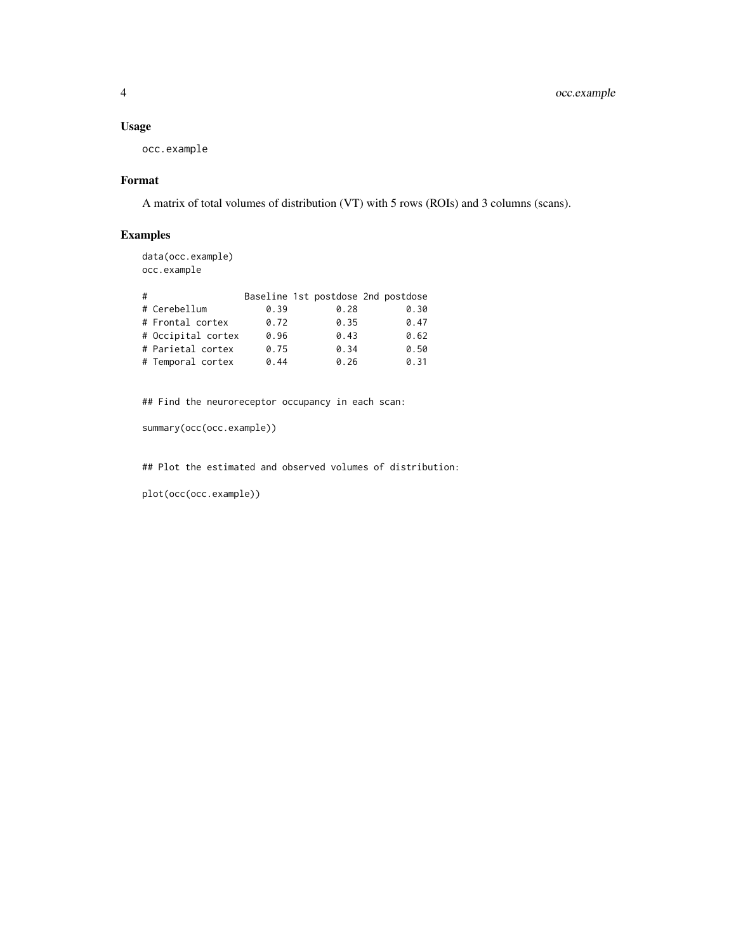#### Usage

occ.example

#### Format

A matrix of total volumes of distribution (VT) with 5 rows (ROIs) and 3 columns (scans).

#### Examples

data(occ.example) occ.example

| # |                    |      |      | Baseline 1st postdose 2nd postdose |
|---|--------------------|------|------|------------------------------------|
|   | # Cerebellum       | 0.39 | 0.28 | 0.30                               |
|   | # Frontal cortex   | 0.72 | 0.35 | 0.47                               |
|   | # Occipital cortex | 0.96 | 0.43 | 0.62                               |
|   | # Parietal cortex  | 0.75 | 0.34 | 0.50                               |
|   | # Temporal cortex  | 0.44 | 0.26 | 0.31                               |

## Find the neuroreceptor occupancy in each scan:

```
summary(occ(occ.example))
```
## Plot the estimated and observed volumes of distribution:

plot(occ(occ.example))